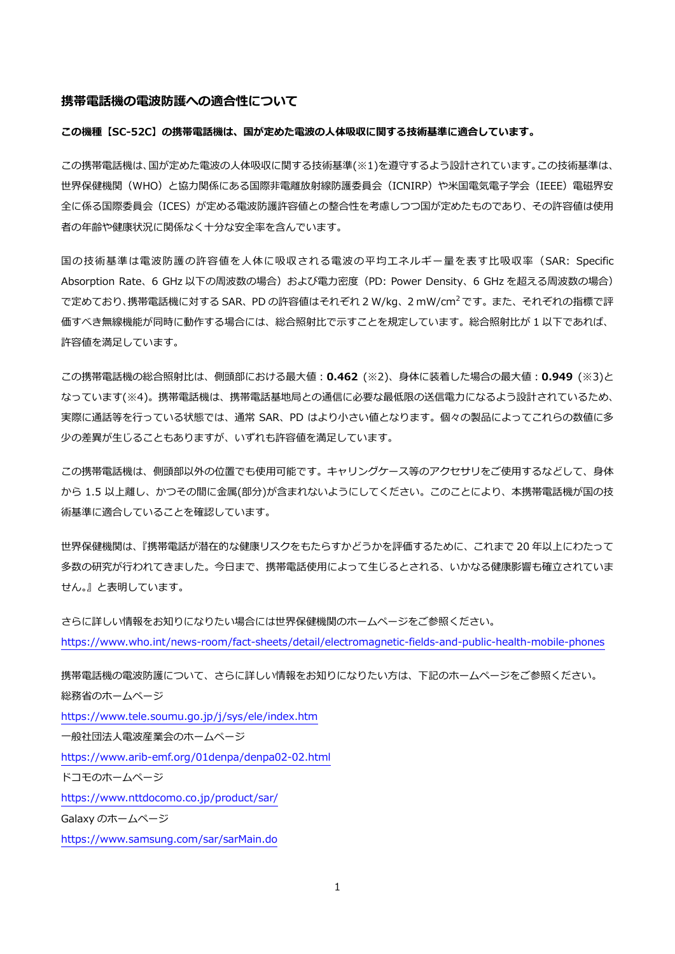#### **携帯電話機の電波防護への適合性について**

#### **この機種【SC-52C】の携帯電話機は、国が定めた電波の人体吸収に関する技術基準に適合しています。**

この携帯電話機は、国が定めた電波の人体吸収に関する技術基準(※1)を遵守するよう設計されています。この技術基準は、 世界保健機関(WHO)と協力関係にある国際非電離放射線防護委員会(ICNIRP)や米国電気電子学会(IEEE)電磁界安 全に係る国際委員会(ICES)が定める電波防護許容値との整合性を考慮しつつ国が定めたものであり、その許容値は使用 者の年齢や健康状況に関係なく十分な安全率を含んでいます。

国の技術基準は電波防護の許容値を人体に吸収される電波の平均エネルギー量を表す比吸収率(SAR: Specific Absorption Rate、6 GHz 以下の周波数の場合)および電力密度 (PD: Power Density、6 GHz を超える周波数の場合) で定めており、携帯電話機に対する SAR、PD の許容値はそれぞれ 2 W/kg、2 mW/cm<sup>2</sup> です。 また、 それぞれの指標で評 価すべき無線機能が同時に動作する場合には、総合照射比で示すことを規定しています。総合照射比が 1 以下であれば、 許容値を満足しています。

この携帯電話機の総合照射比は、側頭部における最大値:**0.462** (※2)、身体に装着した場合の最大値:**0.949** (※3)と なっています(※4)。携帯電話機は、携帯電話基地局との通信に必要な最低限の送信電力になるよう設計されているため、 実際に通話等を行っている状態では、通常 SAR、PD はより小さい値となります。個々の製品によってこれらの数値に多 少の差異が生じることもありますが、いずれも許容値を満足しています。

この携帯電話機は、側頭部以外の位置でも使用可能です。キャリングケース等のアクセサリをご使用するなどして、身体 から 1.5 以上離し、かつその間に金属(部分)が含まれないようにしてください。このことにより、本携帯電話機が国の技 術基準に適合していることを確認しています。

世界保健機関は、『携帯電話が潜在的な健康リスクをもたらすかどうかを評価するために、これまで 20 年以上にわたって 多数の研究が行われてきました。今日まで、携帯電話使用によって生じるとされる、いかなる健康影響も確立されていま せん。』と表明しています。

```
さらに詳しい情報をお知りになりたい場合には世界保健機関のホームページをご参照ください。
https://www.who.int/news-room/fact-sheets/detail/electromagnetic-fields-and-public-health-mobile-phones
```
携帯電話機の電波防護について、さらに詳しい情報をお知りになりたい方は、下記のホームページをご参照ください。 総務省のホームページ <https://www.tele.soumu.go.jp/j/sys/ele/index.htm> 一般社団法人電波産業会のホームページ <https://www.arib-emf.org/01denpa/denpa02-02.html> ドコモのホームページ <https://www.nttdocomo.co.jp/product/sar/> Galaxy のホームページ <https://www.samsung.com/sar/sarMain.do>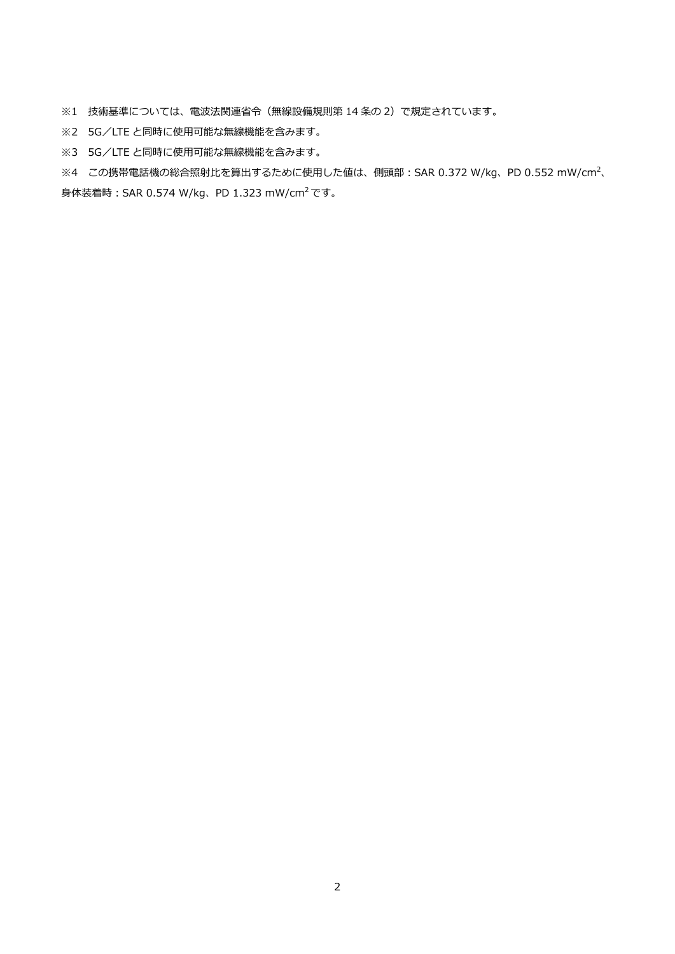※1 技術基準については、電波法関連省令(無線設備規則第 14 条の 2)で規定されています。

※2 5G/LTE と同時に使用可能な無線機能を含みます。

※3 5G/LTE と同時に使用可能な無線機能を含みます。

※4 この携帯電話機の総合照射比を算出するために使用した値は、側頭部:SAR 0.372 W/kg、PD 0.552 mW/cm<sup>2</sup>、 身体装着時:SAR 0.574 W/kg、PD 1.323 mW/cm<sup>2</sup> です。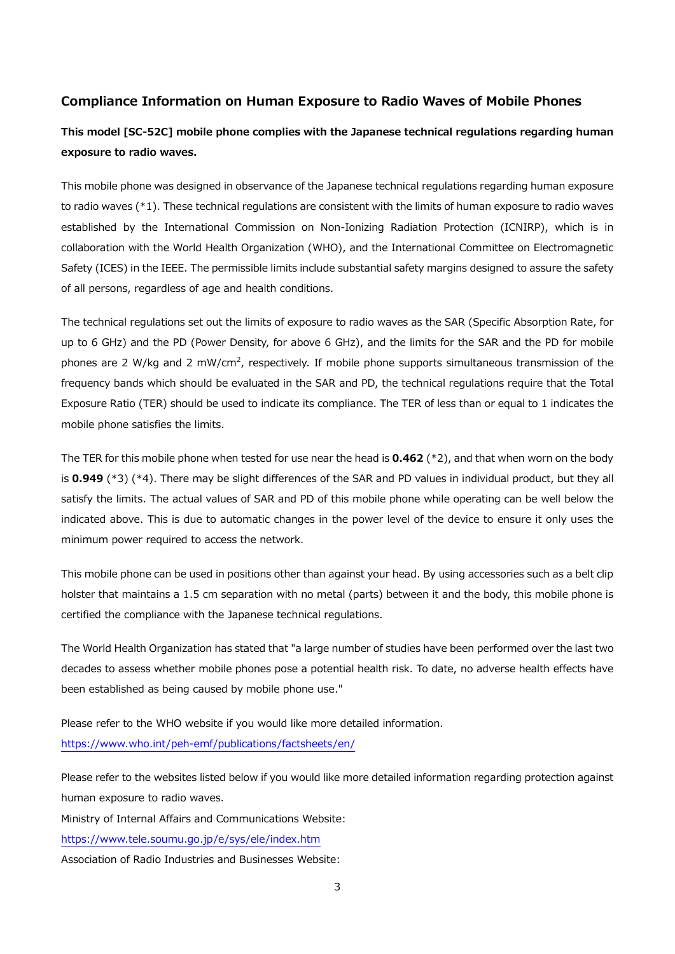## **Compliance Information on Human Exposure to Radio Waves of Mobile Phones**

# **This model [SC-52C] mobile phone complies with the Japanese technical regulations regarding human exposure to radio waves.**

This mobile phone was designed in observance of the Japanese technical regulations regarding human exposure to radio waves (\*1). These technical regulations are consistent with the limits of human exposure to radio waves established by the International Commission on Non-Ionizing Radiation Protection (ICNIRP), which is in collaboration with the World Health Organization (WHO), and the International Committee on Electromagnetic Safety (ICES) in the IEEE. The permissible limits include substantial safety margins designed to assure the safety of all persons, regardless of age and health conditions.

The technical regulations set out the limits of exposure to radio waves as the SAR (Specific Absorption Rate, for up to 6 GHz) and the PD (Power Density, for above 6 GHz), and the limits for the SAR and the PD for mobile phones are 2 W/kg and 2 mW/cm<sup>2</sup>, respectively. If mobile phone supports simultaneous transmission of the frequency bands which should be evaluated in the SAR and PD, the technical regulations require that the Total Exposure Ratio (TER) should be used to indicate its compliance. The TER of less than or equal to 1 indicates the mobile phone satisfies the limits.

The TER for this mobile phone when tested for use near the head is **0.462** (\*2), and that when worn on the body is **0.949** (\*3) (\*4). There may be slight differences of the SAR and PD values in individual product, but they all satisfy the limits. The actual values of SAR and PD of this mobile phone while operating can be well below the indicated above. This is due to automatic changes in the power level of the device to ensure it only uses the minimum power required to access the network.

This mobile phone can be used in positions other than against your head. By using accessories such as a belt clip holster that maintains a 1.5 cm separation with no metal (parts) between it and the body, this mobile phone is certified the compliance with the Japanese technical regulations.

The World Health Organization has stated that "a large number of studies have been performed over the last two decades to assess whether mobile phones pose a potential health risk. To date, no adverse health effects have been established as being caused by mobile phone use."

Please refer to the WHO website if you would like more detailed information. <https://www.who.int/peh-emf/publications/factsheets/en/>

Please refer to the websites listed below if you would like more detailed information regarding protection against human exposure to radio waves.

Ministry of Internal Affairs and Communications Website:

<https://www.tele.soumu.go.jp/e/sys/ele/index.htm>

Association of Radio Industries and Businesses Website: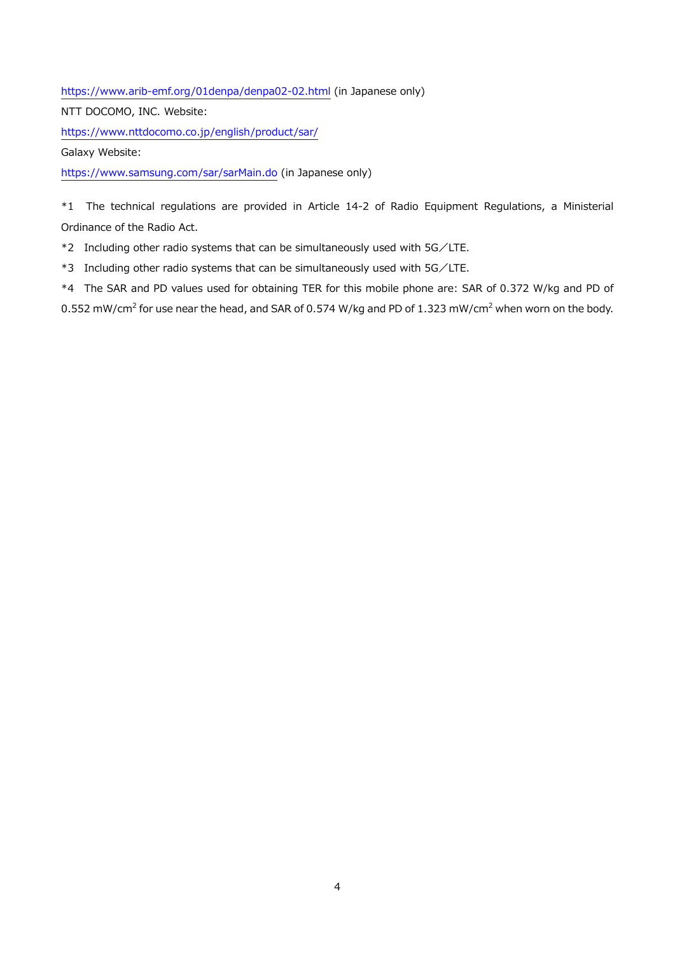<https://www.arib-emf.org/01denpa/denpa02-02.html> (in Japanese only)

NTT DOCOMO, INC. Website:

<https://www.nttdocomo.co.jp/english/product/sar/>

Galaxy Website:

<https://www.samsung.com/sar/sarMain.do> (in Japanese only)

\*1 The technical regulations are provided in Article 14-2 of Radio Equipment Regulations, a Ministerial Ordinance of the Radio Act.

\*2 Including other radio systems that can be simultaneously used with 5G/LTE.

\*3 Including other radio systems that can be simultaneously used with 5G/LTE.

\*4 The SAR and PD values used for obtaining TER for this mobile phone are: SAR of 0.372 W/kg and PD of 0.552 mW/cm<sup>2</sup> for use near the head, and SAR of 0.574 W/kg and PD of 1.323 mW/cm<sup>2</sup> when worn on the body.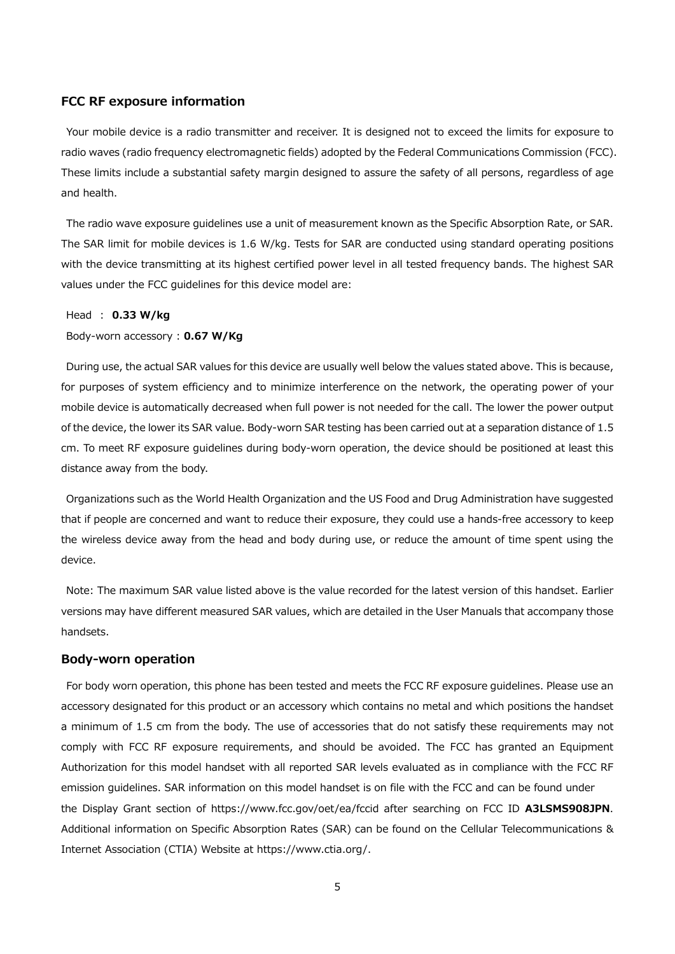### **FCC RF exposure information**

Your mobile device is a radio transmitter and receiver. It is designed not to exceed the limits for exposure to radio waves (radio frequency electromagnetic fields) adopted by the Federal Communications Commission (FCC). These limits include a substantial safety margin designed to assure the safety of all persons, regardless of age and health.

The radio wave exposure guidelines use a unit of measurement known as the Specific Absorption Rate, or SAR. The SAR limit for mobile devices is 1.6 W/kg. Tests for SAR are conducted using standard operating positions with the device transmitting at its highest certified power level in all tested frequency bands. The highest SAR values under the FCC guidelines for this device model are:

#### Head : **0.33 W/kg**

#### Body-worn accessory : **0.67 W/Kg**

During use, the actual SAR values for this device are usually well below the values stated above. This is because, for purposes of system efficiency and to minimize interference on the network, the operating power of your mobile device is automatically decreased when full power is not needed for the call. The lower the power output of the device, the lower its SAR value. Body-worn SAR testing has been carried out at a separation distance of 1.5 cm. To meet RF exposure guidelines during body-worn operation, the device should be positioned at least this distance away from the body.

Organizations such as the World Health Organization and the US Food and Drug Administration have suggested that if people are concerned and want to reduce their exposure, they could use a hands-free accessory to keep the wireless device away from the head and body during use, or reduce the amount of time spent using the device.

Note: The maximum SAR value listed above is the value recorded for the latest version of this handset. Earlier versions may have different measured SAR values, which are detailed in the User Manuals that accompany those handsets.

#### **Body-worn operation**

For body worn operation, this phone has been tested and meets the FCC RF exposure guidelines. Please use an accessory designated for this product or an accessory which contains no metal and which positions the handset a minimum of 1.5 cm from the body. The use of accessories that do not satisfy these requirements may not comply with FCC RF exposure requirements, and should be avoided. The FCC has granted an Equipment Authorization for this model handset with all reported SAR levels evaluated as in compliance with the FCC RF emission guidelines. SAR information on this model handset is on file with the FCC and can be found under the Display Grant section of https://www.fcc.gov/oet/ea/fccid after searching on FCC ID **A3LSMS908JPN**. Additional information on Specific Absorption Rates (SAR) can be found on the Cellular Telecommunications & Internet Association (CTIA) Website at https://www.ctia.org/.

5